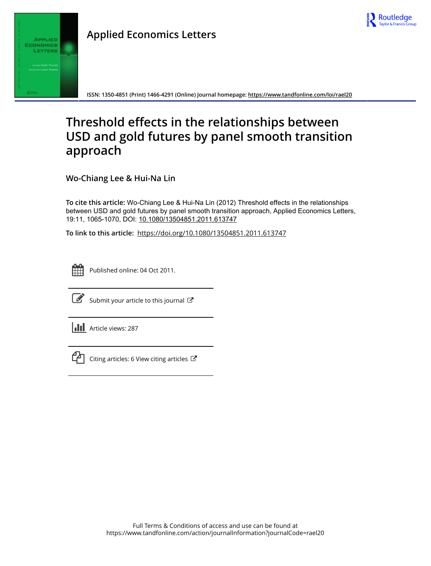



**ISSN: 1350-4851 (Print) 1466-4291 (Online) Journal homepage:<https://www.tandfonline.com/loi/rael20>**

# **Threshold effects in the relationships between USD and gold futures by panel smooth transition approach**

**Wo-Chiang Lee & Hui-Na Lin**

**To cite this article:** Wo-Chiang Lee & Hui-Na Lin (2012) Threshold effects in the relationships between USD and gold futures by panel smooth transition approach, Applied Economics Letters, 19:11, 1065-1070, DOI: [10.1080/13504851.2011.613747](https://www.tandfonline.com/action/showCitFormats?doi=10.1080/13504851.2011.613747)

**To link to this article:** <https://doi.org/10.1080/13504851.2011.613747>



Published online: 04 Oct 2011.



 $\overrightarrow{S}$  [Submit your article to this journal](https://www.tandfonline.com/action/authorSubmission?journalCode=rael20&show=instructions)  $\overrightarrow{S}$ 





 $\mathcal{C}$  [Citing articles: 6 View citing articles](https://www.tandfonline.com/doi/citedby/10.1080/13504851.2011.613747#tabModule)  $\mathcal{C}$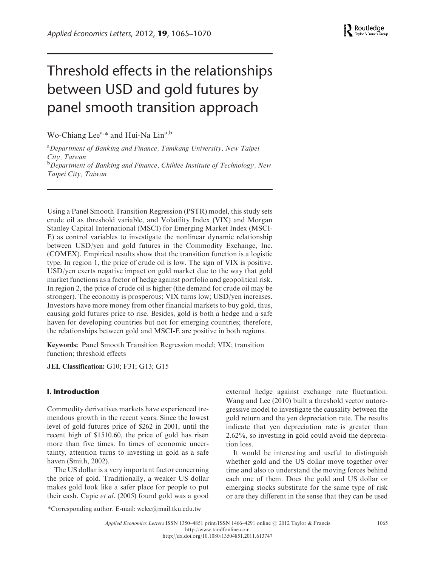# Threshold effects in the relationships between USD and gold futures by panel smooth transition approach

Wo-Chiang Lee<sup>a,\*</sup> and Hui-Na Lin<sup>a,b</sup>

<sup>a</sup> Department of Banking and Finance, Tamkang University, New Taipei City, Taiwan <sup>b</sup>Department of Banking and Finance, Chihlee Institute of Technology, New Taipei City, Taiwan

Using a Panel Smooth Transition Regression (PSTR) model, this study sets crude oil as threshold variable, and Volatility Index (VIX) and Morgan Stanley Capital International (MSCI) for Emerging Market Index (MSCI-E) as control variables to investigate the nonlinear dynamic relationship between USD/yen and gold futures in the Commodity Exchange, Inc. (COMEX). Empirical results show that the transition function is a logistic type. In region 1, the price of crude oil is low. The sign of VIX is positive. USD/yen exerts negative impact on gold market due to the way that gold market functions as a factor of hedge against portfolio and geopolitical risk. In region 2, the price of crude oil is higher (the demand for crude oil may be stronger). The economy is prosperous; VIX turns low; USD/yen increases. Investors have more money from other financial markets to buy gold, thus, causing gold futures price to rise. Besides, gold is both a hedge and a safe haven for developing countries but not for emerging countries; therefore, the relationships between gold and MSCI-E are positive in both regions.

Keywords: Panel Smooth Transition Regression model; VIX; transition function; threshold effects

JEL Classification: G10; F31; G13; G15

## I. Introduction

Commodity derivatives markets have experienced tremendous growth in the recent years. Since the lowest level of gold futures price of \$262 in 2001, until the recent high of \$1510.60, the price of gold has risen more than five times. In times of economic uncertainty, attention turns to investing in gold as a safe haven (Smith, 2002).

The US dollar is a very important factor concerning the price of gold. Traditionally, a weaker US dollar makes gold look like a safer place for people to put their cash. Capie et al. (2005) found gold was a good

external hedge against exchange rate fluctuation. Wang and Lee (2010) built a threshold vector autoregressive model to investigate the causality between the gold return and the yen depreciation rate. The results indicate that yen depreciation rate is greater than 2.62%, so investing in gold could avoid the depreciation loss.

It would be interesting and useful to distinguish whether gold and the US dollar move together over time and also to understand the moving forces behind each one of them. Does the gold and US dollar or emerging stocks substitute for the same type of risk or are they different in the sense that they can be used

\*Corresponding author. E-mail: [wclee@mail.tku.edu.tw](mailto:wclee@mail.tku.edu.tw)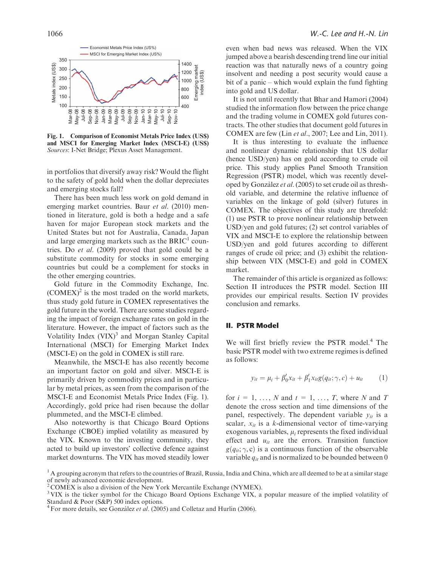

Fig. 1. Comparison of Economist Metals Price Index (US\$) and MSCI for Emerging Market Index (MSCI-E) (US\$) Sources: I-Net Bridge; Plexus Asset Management.

in portfolios that diversify away risk? Would the flight to the safety of gold hold when the dollar depreciates and emerging stocks fall?

There has been much less work on gold demand in emerging market countries. Baur et al. (2010) mentioned in literature, gold is both a hedge and a safe haven for major European stock markets and the United States but not for Australia, Canada, Japan and large emerging markets such as the BRIC<sup>1</sup> countries. Do et al. (2009) proved that gold could be a substitute commodity for stocks in some emerging countries but could be a complement for stocks in the other emerging countries.

Gold future in the Commodity Exchange, Inc.  $(COMEX)^2$  is the most traded on the world markets, thus study gold future in COMEX representatives the gold future in the world. There are some studies regarding the impact of foreign exchange rates on gold in the literature. However, the impact of factors such as the Volatility Index  $(VIX)^3$  and Morgan Stanley Capital International (MSCI) for Emerging Market Index (MSCI-E) on the gold in COMEX is still rare.

Meanwhile, the MSCI-E has also recently become an important factor on gold and silver. MSCI-E is primarily driven by commodity prices and in particular by metal prices, as seen from the comparison of the MSCI-E and Economist Metals Price Index (Fig. 1). Accordingly, gold price had risen because the dollar plummeted, and the MSCI-E climbed.

Also noteworthy is that Chicago Board Options Exchange (CBOE) implied volatility as measured by the VIX. Known to the investing community, they acted to build up investors' collective defence against market downturns. The VIX has moved steadily lower

even when bad news was released. When the VIX jumped above a bearish descending trend line our initial reaction was that naturally news of a country going insolvent and needing a post security would cause a bit of a panic – which would explain the fund fighting into gold and US dollar.

It is not until recently that Bhar and Hamori (2004) studied the information flow between the price change and the trading volume in COMEX gold futures contracts. The other studies that document gold futures in COMEX are few (Lin et al., 2007; Lee and Lin, 2011).

It is thus interesting to evaluate the influence and nonlinear dynamic relationship that US dollar (hence USD/yen) has on gold according to crude oil price. This study applies Panel Smooth Transition Regression (PSTR) model, which was recently developed by Gonzàlez et al. (2005) to set crude oil as threshold variable, and determine the relative influence of variables on the linkage of gold (silver) futures in COMEX. The objectives of this study are threefold: (1) use PSTR to prove nonlinear relationship between USD/yen and gold futures; (2) set control variables of VIX and MSCI-E to explore the relationship between USD/yen and gold futures according to different ranges of crude oil price; and (3) exhibit the relationship between VIX (MSCI-E) and gold in COMEX market.

The remainder of this article is organized as follows: Section II introduces the PSTR model. Section III provides our empirical results. Section IV provides conclusion and remarks.

## II. PSTR Model

We will first briefly review the PSTR model.<sup>4</sup> The basic PSTR model with two extreme regimes is defined as follows:

$$
y_{it} = \mu_i + \beta'_0 x_{it} + \beta'_1 x_{it} g(q_{it}; \gamma, c) + u_{it}
$$
 (1)

for  $i = 1, \ldots, N$  and  $t = 1, \ldots, T$ , where N and T denote the cross section and time dimensions of the panel, respectively. The dependent variable  $y_{it}$  is a scalar,  $x_{it}$  is a k-dimensional vector of time-varying exogenous variables,  $\mu_i$  represents the fixed individual effect and  $u_{it}$  are the errors. Transition function  $g(q_{it}; \gamma, c)$  is a continuous function of the observable variable  $q_{it}$  and is normalized to be bounded between 0

 $<sup>1</sup>$  A grouping acronym that refers to the countries of Brazil, Russia, India and China, which are all deemed to be at a similar stage</sup> of newly advanced economic development.

 $2^2$ COMEX is also a division of the New York Mercantile Exchange (NYMEX).

<sup>&</sup>lt;sup>3</sup> VIX is the ticker symbol for the Chicago Board Options Exchange VIX, a popular measure of the implied volatility of Standard & Poor (S&P) 500 index options.<br><sup>4</sup> For more details, see Gonzàlez *et al*. (2005) and Colletaz and Hurlin (2006).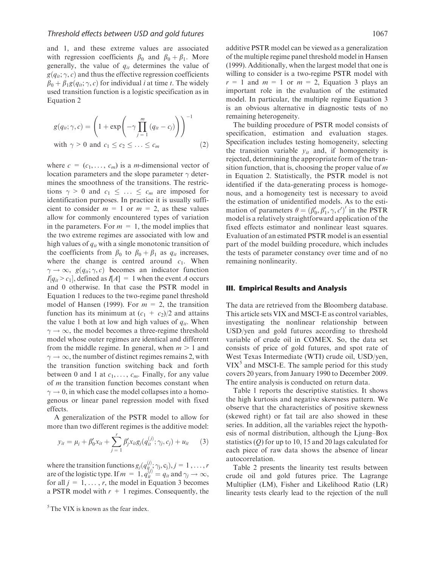and 1, and these extreme values are associated with regression coefficients  $\beta_0$  and  $\beta_0 + \beta_1$ . More generally, the value of  $q_{it}$  determines the value of  $g(q_{it}; \gamma, c)$  and thus the effective regression coefficients  $\beta_0 + \beta_1 g(q_{ii}; \gamma, c)$  for individual *i* at time *t*. The widely used transition function is a logistic specification as in Equation 2

$$
g(q_{ii}; \gamma, c) = \left(1 + \exp\left(-\gamma \prod_{j=1}^{m} (q_{ii} - c_j)\right)\right)^{-1}
$$
  
with  $\gamma > 0$  and  $c_1 \le c_2 \le \ldots \le c_m$  (2)

where  $c = (c_1, \ldots, c_m)$  is a *m*-dimensional vector of location parameters and the slope parameter  $\gamma$  determines the smoothness of the transitions. The restrictions  $\gamma > 0$  and  $c_1 \leq \ldots \leq c_m$  are imposed for identification purposes. In practice it is usually sufficient to consider  $m = 1$  or  $m = 2$ , as these values allow for commonly encountered types of variation in the parameters. For  $m = 1$ , the model implies that the two extreme regimes are associated with low and high values of  $q_{it}$  with a single monotonic transition of the coefficients from  $\beta_0$  to  $\beta_0 + \beta_1$  as  $q_{it}$  increases, where the change is centred around  $c_1$ . When  $\gamma \to \infty$ ,  $g(q_{ii}; \gamma, c)$  becomes an indicator function  $I[q_{it} > c_1]$ , defined as  $I[A] = 1$  when the event A occurs and 0 otherwise. In that case the PSTR model in Equation 1 reduces to the two-regime panel threshold model of Hansen (1999). For  $m = 2$ , the transition function has its minimum at  $(c_1 + c_2)/2$  and attains the value 1 both at low and high values of  $q_{it}$ . When  $\gamma \rightarrow \infty$ , the model becomes a three-regime threshold model whose outer regimes are identical and different from the middle regime. In general, when  $m > 1$  and  $\gamma \rightarrow \infty$ , the number of distinct regimes remains 2, with the transition function switching back and forth between 0 and 1 at  $c_1, \ldots, c_m$ . Finally, for any value of  $m$  the transition function becomes constant when  $\gamma \rightarrow 0$ , in which case the model collapses into a homogenous or linear panel regression model with fixed effects.

A generalization of the PSTR model to allow for more than two different regimes is the additive model:

$$
y_{it} = \mu_i + \beta'_0 x_{it} + \sum_{j=1}^r \beta'_j x_{it} g_j(q_{it}^{(j)}; \gamma_j, c_j) + u_{it} \qquad (3)
$$

where the transition functions  $g_j(q_{it,s}^{(j)}; \gamma_j, c_j)$ ,  $j = 1, ..., r$ are of the logistic type. If  $m = 1$ ,  $q_{it}^{(f)} = q_{it}$  and  $\gamma_j \to \infty$ , for all  $j = 1, \ldots, r$ , the model in Equation 3 becomes a PSTR model with  $r + 1$  regimes. Consequently, the

 $5$ The VIX is known as the fear index.

additive PSTR model can be viewed as a generalization of the multiple regime panel threshold model in Hansen (1999). Additionally, when the largest model that one is willing to consider is a two-regime PSTR model with  $r = 1$  and  $m = 1$  or  $m = 2$ , Equation 3 plays an important role in the evaluation of the estimated model. In particular, the multiple regime Equation 3 is an obvious alternative in diagnostic tests of no remaining heterogeneity.

The building procedure of PSTR model consists of specification, estimation and evaluation stages. Specification includes testing homogeneity, selecting the transition variable  $y_{it}$  and, if homogeneity is rejected, determining the appropriate form of the transition function, that is, choosing the proper value of  $m$ in Equation 2. Statistically, the PSTR model is not identified if the data-generating process is homogenous, and a homogeneity test is necessary to avoid the estimation of unidentified models. As to the estimation of parameters  $\theta = (\beta'_0, \beta'_1, \gamma, c')'$  in the PSTR model is a relatively straightforward application of the fixed effects estimator and nonlinear least squares. Evaluation of an estimated PSTR model is an essential part of the model building procedure, which includes the tests of parameter constancy over time and of no remaining nonlinearity.

#### III. Empirical Results and Analysis

The data are retrieved from the Bloomberg database. This article sets VIX and MSCI-E as control variables, investigating the nonlinear relationship between USD/yen and gold futures according to threshold variable of crude oil in COMEX. So, the data set consists of price of gold futures, and spot rate of West Texas Intermediate (WTI) crude oil, USD/yen,  $VIX<sup>5</sup>$  and MSCI-E. The sample period for this study covers 20 years, from January 1990 to December 2009. The entire analysis is conducted on return data.

Table 1 reports the descriptive statistics. It shows the high kurtosis and negative skewness pattern. We observe that the characteristics of positive skewness (skewed right) or fat tail are also showed in these series. In addition, all the variables reject the hypothesis of normal distribution, although the Ljung–Box statistics  $(Q)$  for up to 10, 15 and 20 lags calculated for each piece of raw data shows the absence of linear autocorrelation.

Table 2 presents the linearity test results between crude oil and gold futures price. The Lagrange Multiplier (LM), Fisher and Likelihood Ratio (LR) linearity tests clearly lead to the rejection of the null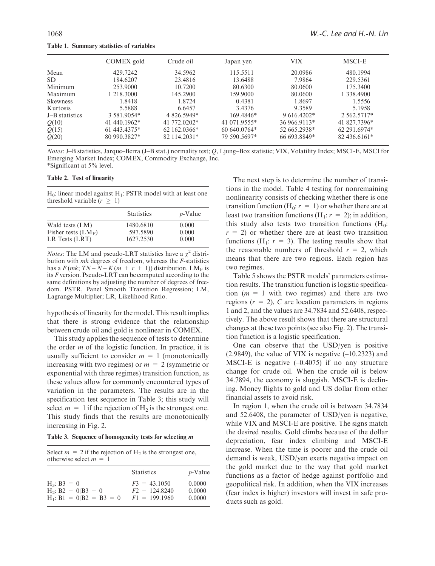Table 1. Summary statistics of variables

|                 | COMEX gold    | Crude oil    | Japan yen     | VIX          | MSCI-E       |
|-----------------|---------------|--------------|---------------|--------------|--------------|
| Mean            | 429.7242      | 34.5962      | 115.5511      | 20.0986      | 480.1994     |
| <b>SD</b>       | 184.6207      | 23.4816      | 13.6488       | 7.9864       | 229.5361     |
| Minimum         | 253,9000      | 10.7200      | 80.6300       | 80.0600      | 175.3400     |
| Maximum         | 1 218.3000    | 145.2900     | 159.9000      | 80.0600      | 1 338,4900   |
| <b>Skewness</b> | 1.8418        | 1.8724       | 0.4381        | 1.8697       | 1.5556       |
| Kurtosis        | 5.5888        | 6.6457       | 3.4376        | 9.3589       | 5.1958       |
| J-B statistics  | 3 581 9054*   | 4 826.5949*  | 169.4846*     | $9616.4202*$ | 2 562.5717*  |
| Q(10)           | 41 440.1962*  | 41 772,0202* | 41 071 9555*  | 36 966.9113* | 41 827.7396* |
| Q(15)           | $61443.4375*$ | 62 162.0366* | $60640.0764*$ | 52 665.2938* | 62 291.6974* |
| Q(20)           | 80 990.3827*  | 82 114.2031* | 79 590.5697*  | 66 693.8849* | 82 436.6161* |

Notes: J–B statistics, Jarque–Berra (J–B stat.) normality test; Q, Ljung–Box statistic; VIX, Volatility Index; MSCI-E, MSCI for Emerging Market Index; COMEX, Commodity Exchange, Inc. \*Significant at 5% level.

#### Table 2. Test of linearity

 $H_0$ : linear model against  $H_1$ : PSTR model with at least one threshold variable  $(r \geq 1)$ 

|                       | <b>Statistics</b> | $p$ -Value |
|-----------------------|-------------------|------------|
| Wald tests (LM)       | 1480.6810         | 0.000      |
| Fisher tests $(LM_F)$ | 597.5890          | 0.000      |
| LR Tests (LRT)        | 1627.2530         | 0.000      |

*Notes*: The LM and pseudo-LRT statistics have a  $\gamma^2$  distribution with mk degrees of freedom, whereas the F-statistics has a  $F(mk; TN - N - K(m + r + 1))$  distribution. LM<sub>F</sub> is its F version. Pseudo-LRT can be computed according to the same definitions by adjusting the number of degrees of freedom. PSTR, Panel Smooth Transition Regression; LM, Lagrange Multiplier; LR, Likelihood Ratio.

hypothesis of linearity for the model. This result implies that there is strong evidence that the relationship between crude oil and gold is nonlinear in COMEX.

This study applies the sequence of tests to determine the order  $m$  of the logistic function. In practice, it is usually sufficient to consider  $m = 1$  (monotonically increasing with two regimes) or  $m = 2$  (symmetric or exponential with three regimes) transition function, as these values allow for commonly encountered types of variation in the parameters. The results are in the specification test sequence in Table 3; this study will select  $m = 1$  if the rejection of H<sub>2</sub> is the strongest one. This study finds that the results are monotonically increasing in Fig. 2.

Table 3. Sequence of homogeneity tests for selecting m

Select  $m = 2$  if the rejection of  $H_2$  is the strongest one, otherwise select  $m = 1$ 

|                            | <b>Statistics</b> | $p$ -Value |
|----------------------------|-------------------|------------|
| $H_3$ : B3 = 0             | $F3 = 43.1050$    | 0.0000     |
| $H_2$ : B2 = 0 B3 = 0      | $F2 = 124.8240$   | 0.0000     |
| $H_1$ : B1 = 0 B2 = B3 = 0 | $F1 = 199.1960$   | 0.0000     |

The next step is to determine the number of transitions in the model. Table 4 testing for nonremaining nonlinearity consists of checking whether there is one transition function ( $H_0: r = 1$ ) or whether there are at least two transition functions ( $H_1: r = 2$ ); in addition, this study also tests two transition functions  $(H_0:$  $r = 2$ ) or whether there are at least two transition functions (H<sub>1</sub>:  $r = 3$ ). The testing results show that the reasonable numbers of threshold  $r = 2$ , which means that there are two regions. Each region has two regimes.

Table 5 shows the PSTR models' parameters estimation results. The transition function is logistic specification ( $m = 1$  with two regimes) and there are two regions  $(r = 2)$ , C are location parameters in regions 1 and 2, and the values are 34.7834 and 52.6408, respectively. The above result shows that there are structural changes at these two points (see also Fig. 2). The transition function is a logistic specification.

One can observe that the USD/yen is positive  $(2.9849)$ , the value of VIX is negative  $(-10.2323)$  and MSCI-E is negative  $(-0.4075)$  if no any structure change for crude oil. When the crude oil is below 34.7894, the economy is sluggish. MSCI-E is declining. Money flights to gold and US dollar from other financial assets to avoid risk.

In region 1, when the crude oil is between 34.7834 and 52.6408, the parameter of USD/yen is negative, while VIX and MSCI-E are positive. The signs match the desired results. Gold climbs because of the dollar depreciation, fear index climbing and MSCI-E increase. When the time is poorer and the crude oil demand is weak, USD/yen exerts negative impact on the gold market due to the way that gold market functions as a factor of hedge against portfolio and geopolitical risk. In addition, when the VIX increases (fear index is higher) investors will invest in safe products such as gold.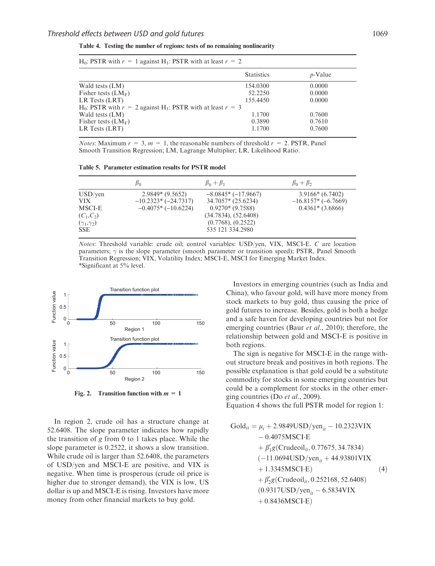Table 4. Testing the number of regions: tests of no remaining nonlinearity

|                                                                                        | <b>Statistics</b> | $p$ -Value |
|----------------------------------------------------------------------------------------|-------------------|------------|
| Wald tests (LM)                                                                        | 154.0300          | 0.0000     |
| Fisher tests $(LM_F)$                                                                  | 52.2250           | 0.0000     |
| LR Tests (LRT)                                                                         | 155.4450          | 0.0000     |
| H <sub>0</sub> : PSTR with $r = 2$ against H <sub>1</sub> : PSTR with at least $r = 3$ |                   |            |
| Wald tests (LM)                                                                        | 1.1700            | 0.7600     |
| Fisher tests $(LM_F)$                                                                  | 0.3890            | 0.7610     |
| LR Tests (LRT)                                                                         | 1.1700            | 0.7600     |
|                                                                                        |                   |            |

H<sub>0</sub>: PSTR with  $r = 1$  against H<sub>1</sub>: PSTR with at least  $r = 2$ 

*Notes*: Maximum  $r = 3$ ,  $m = 1$ , the reasonable numbers of threshold  $r = 2$ . PSTR, Panel Smooth Transition Regression; LM, Lagrange Multiplier; LR, Likelihood Ratio.

Table 5. Parameter estimation results for PSTR model

|                                                                            | $\beta_0$                                                          | $\beta_0 + \beta_1$                                                                                                               | $\beta_0 + \beta_2$                                             |
|----------------------------------------------------------------------------|--------------------------------------------------------------------|-----------------------------------------------------------------------------------------------------------------------------------|-----------------------------------------------------------------|
| USD/ven<br>VIX.<br>MSCI-E<br>$(C_1, C_2)$<br>$(\gamma_1,\gamma_2)$<br>SSE. | $2.9849*(9.5652)$<br>$-10.2323*(-24.7317)$<br>$-0.4075*(-10.6224)$ | $-8.0845*(-17.9667)$<br>34.7057* (25.6234)<br>$0.9270*(9.7588)$<br>(34.7834), (52.6408)<br>(0.7768), (0.2522)<br>535 121 334.2980 | $3.9166*(6.7402)$<br>$-16.8157*(-6.7669)$<br>$0.4361*$ (3.6866) |

Notes: Threshold variable: crude oil; control variables: USD/yen, VIX, MSCI-E. C are location parameters;  $\gamma$  is the slope parameter (smooth parameter or transition speed); PSTR, Panel Smooth Transition Regression; VIX, Volatility Index; MSCI-E, MSCI for Emerging Market Index. \*Significant at 5% level.



Fig. 2. Transition function with  $m = 1$ 

In region 2, crude oil has a structure change at 52.6408. The slope parameter indicates how rapidly the transition of g from 0 to 1 takes place. While the slope parameter is 0.2522, it shows a slow transition. While crude oil is larger than 52.6408, the parameters of USD/yen and MSCI-E are positive, and VIX is negative. When time is prosperous (crude oil price is higher due to stronger demand), the VIX is low, US dollar is up and MSCI-E is rising. Investors have more money from other financial markets to buy gold.

Investors in emerging countries (such as India and China), who favour gold, will have more money from stock markets to buy gold, thus causing the price of gold futures to increase. Besides, gold is both a hedge and a safe haven for developing countries but not for emerging countries (Baur *et al.*, 2010); therefore, the relationship between gold and MSCI-E is positive in both regions.

The sign is negative for MSCI-E in the range without structure break and positives in both regions. The possible explanation is that gold could be a substitute commodity for stocks in some emerging countries but could be a complement for stocks in the other emerging countries (Do et al., 2009).

Equation 4 shows the full PSTR model for region 1:

$$
Gold_{it} = \mu_{i} + 2.9849USD/year_{it} - 10.2323VIX
$$
  
- 0.4075MSCI-E  
+  $\beta'_{1}g$  (Crudeoil<sub>it</sub>, 0.77675, 34.7834)  
(-11.0694USD/year<sub>it</sub> + 44.93801VIX  
+ 1.3345MSCI-E)  
+  $\beta'_{2}g$  (Crudeoil<sub>it</sub>, 0.252168, 52.6408)  
(0.9317USD/year<sub>it</sub> - 6.5834VIX  
+ 0.8436MSCI-E)